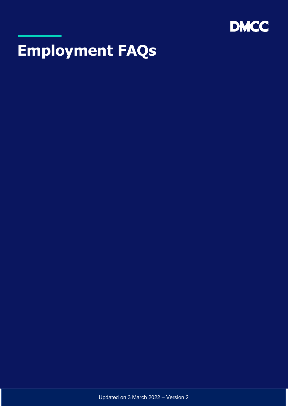

# **Employment FAQs**

Updated on 3 March 2022 – Version 2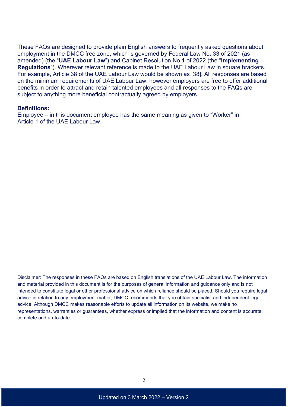These FAQs are designed to provide plain English answers to frequently asked questions about employment in the DMCC free zone, which is governed by Federal Law No. 33 of 2021 (as amended) (the "**UAE Labour Law**") and Cabinet Resolution No.1 of 2022 (the "**Implementing Regulations**"). Wherever relevant reference is made to the UAE Labour Law in square brackets. For example, Article 38 of the UAE Labour Law would be shown as [38]. All responses are based on the minimum requirements of UAE Labour Law, however employers are free to offer additional benefits in order to attract and retain talented employees and all responses to the FAQs are subject to anything more beneficial contractually agreed by employers.

#### **Definitions:**

Employee – in this document employee has the same meaning as given to "Worker" in Article 1 of the UAE Labour Law.

Disclaimer: The responses in these FAQs are based on English translations of the UAE Labour Law. The information and material provided in this document is for the purposes of general information and guidance only and is not intended to constitute legal or other professional advice on which reliance should be placed. Should you require legal advice in relation to any employment matter, DMCC recommends that you obtain specialist and independent legal advice. Although DMCC makes reasonable efforts to update all information on its website, we make no representations, warranties or guarantees, whether express or implied that the information and content is accurate, complete and up-to-date.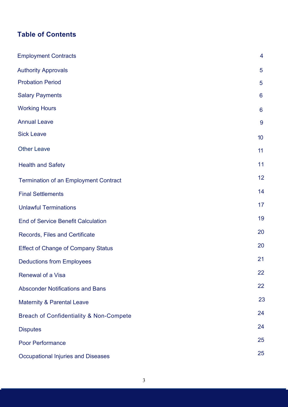# **Table of Contents**

| <b>Employment Contracts</b>                        | 4               |
|----------------------------------------------------|-----------------|
| <b>Authority Approvals</b>                         | 5               |
| <b>Probation Period</b>                            | 5               |
| <b>Salary Payments</b>                             | 6               |
| <b>Working Hours</b>                               | $6\phantom{1}6$ |
| <b>Annual Leave</b>                                | 9               |
| <b>Sick Leave</b>                                  | 10              |
| <b>Other Leave</b>                                 | 11              |
| <b>Health and Safety</b>                           | 11              |
| <b>Termination of an Employment Contract</b>       | 12              |
| <b>Final Settlements</b>                           | 14              |
| <b>Unlawful Terminations</b>                       | 17              |
| <b>End of Service Benefit Calculation</b>          | 19              |
| Records, Files and Certificate                     | 20              |
| <b>Effect of Change of Company Status</b>          | 20              |
| <b>Deductions from Employees</b>                   | 21              |
| <b>Renewal of a Visa</b>                           | 22              |
| <b>Absconder Notifications and Bans</b>            | 22              |
| <b>Maternity &amp; Parental Leave</b>              | 23              |
| <b>Breach of Confidentiality &amp; Non-Compete</b> | 24              |
| <b>Disputes</b>                                    | 24              |
| <b>Poor Performance</b>                            | 25              |
| <b>Occupational Injuries and Diseases</b>          | 25              |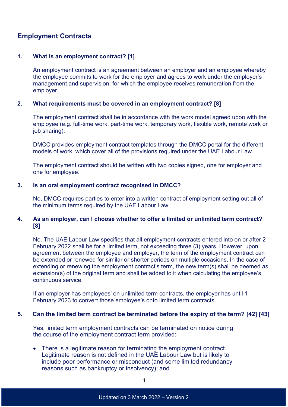# **Employment Contracts**

## **1. What is an employment contract? [1]**

An employment contract is an agreement between an employer and an employee whereby the employee commits to work for the employer and agrees to work under the employer's management and supervision, for which the employee receives remuneration from the employer.

## **2. What requirements must be covered in an employment contract? [8]**

The employment contract shall be in accordance with the work model agreed upon with the employee (e.g. full-time work, part-time work, temporary work, flexible work, remote work or job sharing).

DMCC provides employment contract templates through the DMCC portal for the different models of work, which cover all of the provisions required under the UAE Labour Law.

The employment contract should be written with two copies signed, one for employer and one for employee.

## **3. Is an oral employment contract recognised in DMCC?**

No, DMCC requires parties to enter into a written contract of employment setting out all of the minimum terms required by the UAE Labour Law.

## **4. As an employer, can I choose whether to offer a limited or unlimited term contract? [8]**

No. The UAE Labour Law specifies that all employment contracts entered into on or after 2 February 2022 shall be for a limited term, not exceeding three (3) years. However, upon agreement between the employee and employer, the term of the employment contract can be extended or renewed for similar or shorter periods on multiple occasions. In the case of extending or renewing the employment contract's term, the new term(s) shall be deemed as extension(s) of the original term and shall be added to it when calculating the employee's continuous service.

If an employer has employees' on unlimited term contracts, the employer has until 1 February 2023 to convert those employee's onto limited term contracts.

## **5. Can the limited term contract be terminated before the expiry of the term? [42] [43]**

Yes, limited term employment contracts can be terminated on notice during the course of the employment contract term provided:

• There is a legitimate reason for terminating the employment contract. Legitimate reason is not defined in the UAE Labour Law but is likely to include poor performance or misconduct (and some limited redundancy reasons such as bankruptcy or insolvency); and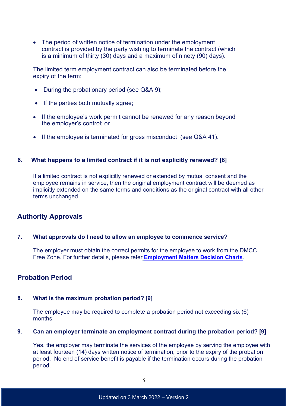• The period of written notice of termination under the employment contract is provided by the party wishing to terminate the contract (which is a minimum of thirty (30) days and a maximum of ninety (90) days).

The limited term employment contract can also be terminated before the expiry of the term:

- During the probationary period (see Q&A 9);
- If the parties both mutually agree;
- If the employee's work permit cannot be renewed for any reason beyond the employer's control; or
- If the employee is terminated for gross misconduct (see Q&A 41).

#### **6. What happens to a limited contract if it is not explicitly renewed? [8]**

If a limited contract is not explicitly renewed or extended by mutual consent and the employee remains in service, then the original employment contract will be deemed as implicitly extended on the same terms and conditions as the original contract with all other terms unchanged.

## **Authority Approvals**

## **7. What approvals do I need to allow an employee to commence service?**

The employer must obtain the correct permits for the employee to work from the DMCC Free Zone. For further details, please refer **[Employment Matters Decision Charts](https://www.dmcc.ae/application/files/3914/8388/0564/Employment_Matters_Decision_Charts.pdf)**.

## **Probation Period**

## **8. What is the maximum probation period? [9]**

The employee may be required to complete a probation period not exceeding six (6) months.

#### **9. Can an employer terminate an employment contract during the probation period? [9]**

Yes, the employer may terminate the services of the employee by serving the employee with at least fourteen (14) days written notice of termination, prior to the expiry of the probation period. No end of service benefit is payable if the termination occurs during the probation period.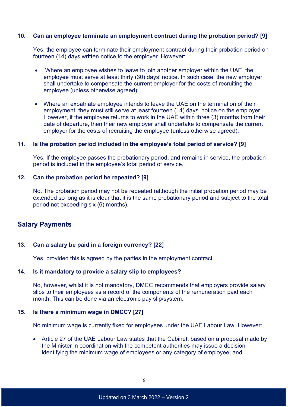## **10. Can an employee terminate an employment contract during the probation period? [9]**

Yes, the employee can terminate their employment contract during their probation period on fourteen (14) days written notice to the employer. However:

- Where an employee wishes to leave to join another employer within the UAE, the employee must serve at least thirty (30) days' notice. In such case, the new employer shall undertake to compensate the current employer for the costs of recruiting the employee (unless otherwise agreed);
- Where an expatriate employee intends to leave the UAE on the termination of their employment, they must still serve at least fourteen (14) days' notice on the employer. However, if the employee returns to work in the UAE within three (3) months from their date of departure, then their new employer shall undertake to compensate the current employer for the costs of recruiting the employee (unless otherwise agreed).

## **11. Is the probation period included in the employee's total period of service? [9]**

Yes. If the employee passes the probationary period, and remains in service, the probation period is included in the employee's total period of service.

## **12. Can the probation period be repeated? [9]**

No. The probation period may not be repeated (although the initial probation period may be extended so long as it is clear that it is the same probationary period and subject to the total period not exceeding six (6) months).

# **Salary Payments**

## **13. Can a salary be paid in a foreign currency? [22]**

Yes, provided this is agreed by the parties in the employment contract.

## **14. Is it mandatory to provide a salary slip to employees?**

No, however, whilst it is not mandatory, DMCC recommends that employers provide salary slips to their employees as a record of the components of the remuneration paid each month. This can be done via an electronic pay slip/system.

## **15. Is there a minimum wage in DMCC? [27]**

No minimum wage is currently fixed for employees under the UAE Labour Law. However:

• Article 27 of the UAE Labour Law states that the Cabinet, based on a proposal made by the Minister in coordination with the competent authorities may issue a decision identifying the minimum wage of employees or any category of employee; and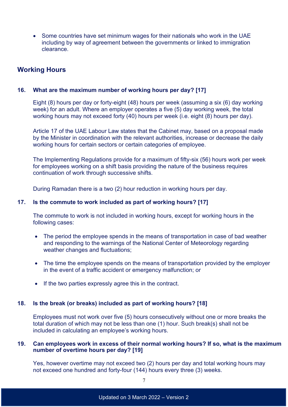• Some countries have set minimum wages for their nationals who work in the UAE including by way of agreement between the governments or linked to immigration clearance.

# **Working Hours**

## **16. What are the maximum number of working hours per day? [17]**

Eight (8) hours per day or forty-eight (48) hours per week (assuming a six (6) day working week) for an adult. Where an employer operates a five (5) day working week, the total working hours may not exceed forty (40) hours per week (i.e. eight (8) hours per day).

Article 17 of the UAE Labour Law states that the Cabinet may, based on a proposal made by the Minister in coordination with the relevant authorities, increase or decrease the daily working hours for certain sectors or certain categories of employee.

The Implementing Regulations provide for a maximum of fifty-six (56) hours work per week for employees working on a shift basis providing the nature of the business requires continuation of work through successive shifts.

During Ramadan there is a two (2) hour reduction in working hours per day.

## **17. Is the commute to work included as part of working hours? [17]**

The commute to work is not included in working hours, except for working hours in the following cases:

- The period the employee spends in the means of transportation in case of bad weather and responding to the warnings of the National Center of Meteorology regarding weather changes and fluctuations;
- The time the employee spends on the means of transportation provided by the employer in the event of a traffic accident or emergency malfunction; or
- If the two parties expressly agree this in the contract.

## **18. Is the break (or breaks) included as part of working hours? [18]**

Employees must not work over five (5) hours consecutively without one or more breaks the total duration of which may not be less than one (1) hour. Such break(s) shall not be included in calculating an employee's working hours.

## **19. Can employees work in excess of their normal working hours? If so, what is the maximum number of overtime hours per day? [19]**

Yes, however overtime may not exceed two (2) hours per day and total working hours may not exceed one hundred and forty-four (144) hours every three (3) weeks.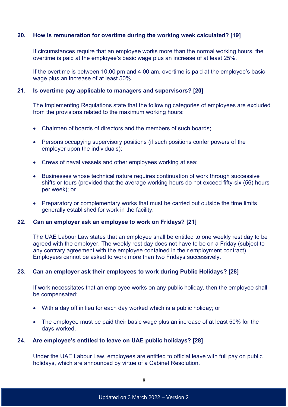## **20. How is remuneration for overtime during the working week calculated? [19]**

If circumstances require that an employee works more than the normal working hours, the overtime is paid at the employee's basic wage plus an increase of at least 25%.

If the overtime is between 10.00 pm and 4.00 am, overtime is paid at the employee's basic wage plus an increase of at least 50%.

## **21. Is overtime pay applicable to managers and supervisors? [20]**

The Implementing Regulations state that the following categories of employees are excluded from the provisions related to the maximum working hours:

- Chairmen of boards of directors and the members of such boards;
- Persons occupying supervisory positions (if such positions confer powers of the employer upon the individuals);
- Crews of naval vessels and other employees working at sea;
- Businesses whose technical nature requires continuation of work through successive shifts or tours (provided that the average working hours do not exceed fifty-six (56) hours per week); or
- Preparatory or complementary works that must be carried out outside the time limits generally established for work in the facility.

## **22. Can an employer ask an employee to work on Fridays? [21]**

The UAE Labour Law states that an employee shall be entitled to one weekly rest day to be agreed with the employer. The weekly rest day does not have to be on a Friday (subject to any contrary agreement with the employee contained in their employment contract). Employees cannot be asked to work more than two Fridays successively.

## **23. Can an employer ask their employees to work during Public Holidays? [28]**

If work necessitates that an employee works on any public holiday, then the employee shall be compensated:

- With a day off in lieu for each day worked which is a public holiday; or
- The employee must be paid their basic wage plus an increase of at least 50% for the days worked.

## **24. Are employee's entitled to leave on UAE public holidays? [28]**

Under the UAE Labour Law, employees are entitled to official leave with full pay on public holidays, which are announced by virtue of a Cabinet Resolution.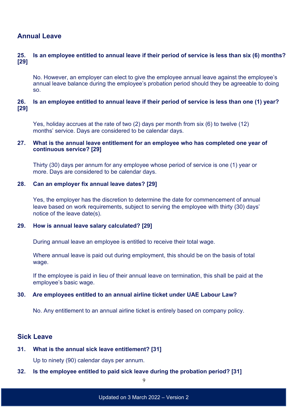# **Annual Leave**

## **25. Is an employee entitled to annual leave if their period of service is less than six (6) months? [29]**

No. However, an employer can elect to give the employee annual leave against the employee's annual leave balance during the employee's probation period should they be agreeable to doing so.

## **26. Is an employee entitled to annual leave if their period of service is less than one (1) year? [29]**

Yes, holiday accrues at the rate of two (2) days per month from six (6) to twelve (12) months' service. Days are considered to be calendar days.

## **27. What is the annual leave entitlement for an employee who has completed one year of continuous service? [29]**

Thirty (30) days per annum for any employee whose period of service is one (1) year or more. Days are considered to be calendar days.

## **28. Can an employer fix annual leave dates? [29]**

Yes, the employer has the discretion to determine the date for commencement of annual leave based on work requirements, subject to serving the employee with thirty (30) days' notice of the leave date(s).

## **29. How is annual leave salary calculated? [29]**

During annual leave an employee is entitled to receive their total wage.

Where annual leave is paid out during employment, this should be on the basis of total wage.

If the employee is paid in lieu of their annual leave on termination, this shall be paid at the employee's basic wage.

## **30. Are employees entitled to an annual airline ticket under UAE Labour Law?**

No. Any entitlement to an annual airline ticket is entirely based on company policy.

## **Sick Leave**

# **31. What is the annual sick leave entitlement? [31]**

Up to ninety (90) calendar days per annum.

## **32. Is the employee entitled to paid sick leave during the probation period? [31]**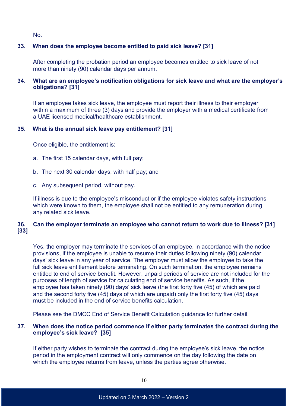No.

## **33. When does the employee become entitled to paid sick leave? [31]**

After completing the probation period an employee becomes entitled to sick leave of not more than ninety (90) calendar days per annum.

## **34. What are an employee's notification obligations for sick leave and what are the employer's obligations? [31]**

If an employee takes sick leave, the employee must report their illness to their employer within a maximum of three (3) days and provide the employer with a medical certificate from a UAE licensed medical/healthcare establishment.

## **35. What is the annual sick leave pay entitlement? [31]**

Once eligible, the entitlement is:

- a. The first 15 calendar days, with full pay;
- b. The next 30 calendar days, with half pay; and
- c. Any subsequent period, without pay.

If illness is due to the employee's misconduct or if the employee violates safety instructions which were known to them, the employee shall not be entitled to any remuneration during any related sick leave.

## **36. Can the employer terminate an employee who cannot return to work due to illness? [31] [33]**

Yes, the employer may terminate the services of an employee, in accordance with the notice provisions, if the employee is unable to resume their duties following ninety (90) calendar days' sick leave in any year of service. The employer must allow the employee to take the full sick leave entitlement before terminating. On such termination, the employee remains entitled to end of service benefit. However, unpaid periods of service are not included for the purposes of length of service for calculating end of service benefits. As such, if the employee has taken ninety (90) days' sick leave (the first forty five (45) of which are paid and the second forty five (45) days of which are unpaid) only the first forty five (45) days must be included in the end of service benefits calculation.

Please see the DMCC End of Service Benefit Calculation guidance for further detail.

## **37. When does the notice period commence if either party terminates the contract during the employee's sick leave? [35]**

If either party wishes to terminate the contract during the employee's sick leave, the notice period in the employment contract will only commence on the day following the date on which the employee returns from leave, unless the parties agree otherwise.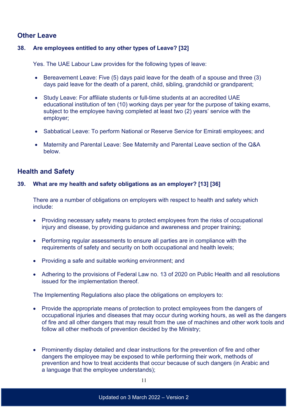# **Other Leave**

## **38. Are employees entitled to any other types of Leave? [32]**

Yes. The UAE Labour Law provides for the following types of leave:

- Bereavement Leave: Five (5) days paid leave for the death of a spouse and three (3) days paid leave for the death of a parent, child, sibling, grandchild or grandparent;
- Study Leave: For affiliate students or full-time students at an accredited UAE educational institution of ten (10) working days per year for the purpose of taking exams, subject to the employee having completed at least two (2) years' service with the employer;
- Sabbatical Leave: To perform National or Reserve Service for Emirati employees; and
- Maternity and Parental Leave: See Maternity and Parental Leave section of the Q&A below.

# **Health and Safety**

## **39. What are my health and safety obligations as an employer? [13] [36]**

There are a number of obligations on employers with respect to health and safety which include:

- Providing necessary safety means to protect employees from the risks of occupational injury and disease, by providing guidance and awareness and proper training;
- Performing regular assessments to ensure all parties are in compliance with the requirements of safety and security on both occupational and health levels;
- Providing a safe and suitable working environment; and
- Adhering to the provisions of Federal Law no. 13 of 2020 on Public Health and all resolutions issued for the implementation thereof.

The Implementing Regulations also place the obligations on employers to:

- Provide the appropriate means of protection to protect employees from the dangers of occupational injuries and diseases that may occur during working hours, as well as the dangers of fire and all other dangers that may result from the use of machines and other work tools and follow all other methods of prevention decided by the Ministry;
- Prominently display detailed and clear instructions for the prevention of fire and other dangers the employee may be exposed to while performing their work, methods of prevention and how to treat accidents that occur because of such dangers (in Arabic and a language that the employee understands);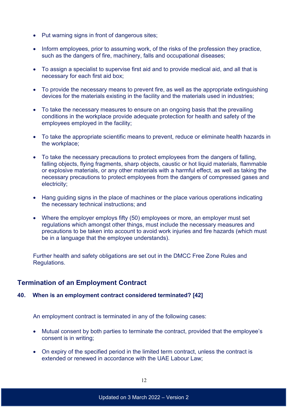- Put warning signs in front of dangerous sites;
- Inform employees, prior to assuming work, of the risks of the profession they practice, such as the dangers of fire, machinery, falls and occupational diseases;
- To assign a specialist to supervise first aid and to provide medical aid, and all that is necessary for each first aid box;
- To provide the necessary means to prevent fire, as well as the appropriate extinguishing devices for the materials existing in the facility and the materials used in industries;
- To take the necessary measures to ensure on an ongoing basis that the prevailing conditions in the workplace provide adequate protection for health and safety of the employees employed in the facility;
- To take the appropriate scientific means to prevent, reduce or eliminate health hazards in the workplace;
- To take the necessary precautions to protect employees from the dangers of falling, falling objects, flying fragments, sharp objects, caustic or hot liquid materials, flammable or explosive materials, or any other materials with a harmful effect, as well as taking the necessary precautions to protect employees from the dangers of compressed gases and electricity;
- Hang guiding signs in the place of machines or the place various operations indicating the necessary technical instructions; and
- Where the employer employs fifty (50) employees or more, an employer must set regulations which amongst other things, must include the necessary measures and precautions to be taken into account to avoid work injuries and fire hazards (which must be in a language that the employee understands).

Further health and safety obligations are set out in the DMCC Free Zone Rules and Regulations.

# **Termination of an Employment Contract**

## **40. When is an employment contract considered terminated? [42]**

An employment contract is terminated in any of the following cases:

- Mutual consent by both parties to terminate the contract, provided that the employee's consent is in writing;
- On expiry of the specified period in the limited term contract, unless the contract is extended or renewed in accordance with the UAE Labour Law;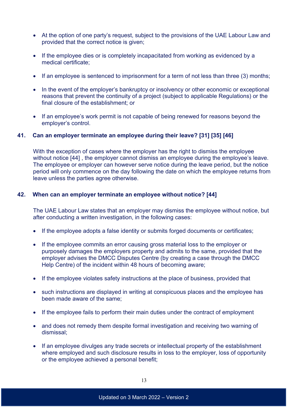- At the option of one party's request, subject to the provisions of the UAE Labour Law and provided that the correct notice is given;
- If the employee dies or is completely incapacitated from working as evidenced by a medical certificate;
- If an employee is sentenced to imprisonment for a term of not less than three (3) months;
- In the event of the employer's bankruptcy or insolvency or other economic or exceptional reasons that prevent the continuity of a project (subject to applicable Regulations) or the final closure of the establishment; or
- If an employee's work permit is not capable of being renewed for reasons beyond the employer's control.

## **41. Can an employer terminate an employee during their leave? [31] [35] [46]**

With the exception of cases where the employer has the right to dismiss the employee without notice [44] , the employer cannot dismiss an employee during the employee's leave. The employee or employer can however serve notice during the leave period, but the notice period will only commence on the day following the date on which the employee returns from leave unless the parties agree otherwise.

## **42. When can an employer terminate an employee without notice? [44]**

The UAE Labour Law states that an employer may dismiss the employee without notice, but after conducting a written investigation, in the following cases:

- If the employee adopts a false identity or submits forged documents or certificates;
- If the employee commits an error causing gross material loss to the employer or purposely damages the employers property and admits to the same, provided that the employer advises the DMCC Disputes Centre (by creating a case through the [DMCC](https://dmccpoc.force.com/DMCCHelpCentre/s/)  [Help Centre\)](https://dmccpoc.force.com/DMCCHelpCentre/s/) of the incident within 48 hours of becoming aware;
- If the employee violates safety instructions at the place of business, provided that
- such instructions are displayed in writing at conspicuous places and the employee has been made aware of the same;
- If the employee fails to perform their main duties under the contract of employment
- and does not remedy them despite formal investigation and receiving two warning of dismissal;
- If an employee divulges any trade secrets or intellectual property of the establishment where employed and such disclosure results in loss to the employer, loss of opportunity or the employee achieved a personal benefit;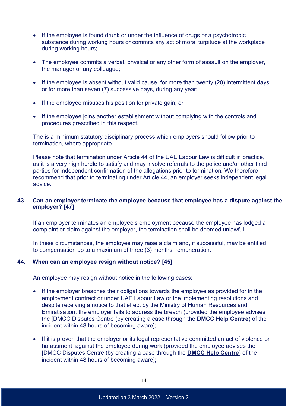- If the employee is found drunk or under the influence of drugs or a psychotropic substance during working hours or commits any act of moral turpitude at the workplace during working hours;
- The employee commits a verbal, physical or any other form of assault on the employer. the manager or any colleague;
- If the employee is absent without valid cause, for more than twenty (20) intermittent days or for more than seven (7) successive days, during any year;
- If the employee misuses his position for private gain; or
- If the employee joins another establishment without complying with the controls and procedures prescribed in this respect.

The is a minimum statutory disciplinary process which employers should follow prior to termination, where appropriate.

Please note that termination under Article 44 of the UAE Labour Law is difficult in practice, as it is a very high hurdle to satisfy and may involve referrals to the police and/or other third parties for independent confirmation of the allegations prior to termination. We therefore recommend that prior to terminating under Article 44, an employer seeks independent legal advice.

## **43. Can an employer terminate the employee because that employee has a dispute against the employer? [47]**

If an employer terminates an employee's employment because the employee has lodged a complaint or claim against the employer, the termination shall be deemed unlawful.

In these circumstances, the employee may raise a claim and, if successful, may be entitled to compensation up to a maximum of three (3) months' remuneration.

## **44. When can an employee resign without notice? [45]**

An employee may resign without notice in the following cases:

- If the employer breaches their obligations towards the employee as provided for in the employment contract or under UAE Labour Law or the implementing resolutions and despite receiving a notice to that effect by the Ministry of Human Resources and Emiratisation, the employer fails to address the breach (provided the employee advises the [DMCC Disputes Centre (by creating a case through the **[DMCC Help Centre](https://dmccpoc.force.com/DMCCHelpCentre/s/)**) of the incident within 48 hours of becoming aware];
- If it is proven that the employer or its legal representative committed an act of violence or harassment against the employee during work (provided the employee advises the [DMCC Disputes Centre (by creating a case through the **[DMCC Help Centre](https://dmccpoc.force.com/DMCCHelpCentre/s/)**) of the incident within 48 hours of becoming aware];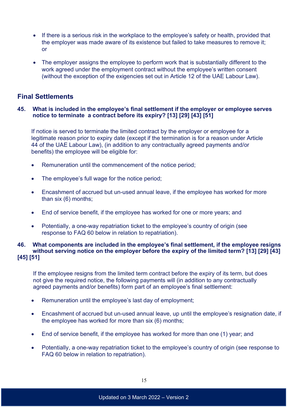- If there is a serious risk in the workplace to the employee's safety or health, provided that the employer was made aware of its existence but failed to take measures to remove it; or
- The employer assigns the employee to perform work that is substantially different to the work agreed under the employment contract without the employee's written consent (without the exception of the exigencies set out in Article 12 of the UAE Labour Law).

## **Final Settlements**

## **45. What is included in the employee's final settlement if the employer or employee serves notice to terminate a contract before its expiry? [13] [29] [43] [51]**

If notice is served to terminate the limited contract by the employer or employee for a legitimate reason prior to expiry date (except if the termination is for a reason under Article 44 of the UAE Labour Law), (in addition to any contractually agreed payments and/or benefits) the employee will be eligible for:

- Remuneration until the commencement of the notice period;
- The employee's full wage for the notice period;
- Encashment of accrued but un-used annual leave, if the employee has worked for more than six (6) months;
- End of service benefit, if the employee has worked for one or more years; and
- Potentially, a one-way repatriation ticket to the employee's country of origin (see response to FAQ 60 below in relation to repatriation).

## **46. What components are included in the employee's final settlement, if the employee resigns without serving notice on the employer before the expiry of the limited term? [13] [29] [43] [45] [51]**

If the employee resigns from the limited term contract before the expiry of its term, but does not give the required notice, the following payments will (in addition to any contractually agreed payments and/or benefits) form part of an employee's final settlement:

- Remuneration until the employee's last day of employment;
- Encashment of accrued but un-used annual leave, up until the employee's resignation date, if the employee has worked for more than six (6) months;
- End of service benefit, if the employee has worked for more than one (1) year; and
- Potentially, a one-way repatriation ticket to the employee's country of origin (see response to FAQ 60 below in relation to repatriation).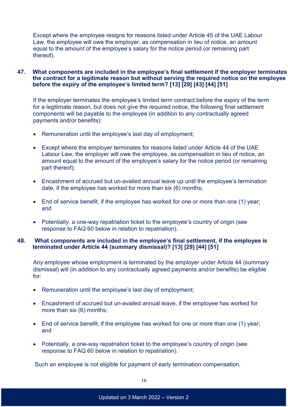Except where the employee resigns for reasons listed under Article 45 of the UAE Labour Law, the employee will owe the employer, as compensation in lieu of notice, an amount equal to the amount of the employee's salary for the notice period (or remaining part thereof).

## **47. What components are included in the employee's final settlement if the employer terminates the contract for a legitimate reason but without serving the required notice on the employee before the expiry of the employee's limited term? [13] [29] [43] [44] [51]**

If the employer terminates the employee's limited term contract before the expiry of the term for a legitimate reason, but does not give the required notice, the following final settlement components will be payable to the employee (in addition to any contractually agreed payments and/or benefits):

- Remuneration until the employee's last day of employment;
- Except where the employer terminates for reasons listed under Article 44 of the UAE Labour Law, the employer will owe the employee, as compensation in lieu of notice, an amount equal to the amount of the employee's salary for the notice period (or remaining part thereof);
- Encashment of accrued but un-availed annual leave up until the employee's termination date, if the employee has worked for more than six (6) months;
- End of service benefit, if the employee has worked for one or more than one (1) year; and
- Potentially, a one-way repatriation ticket to the employee's country of origin (see response to FAQ 60 below in relation to repatriation).

## **48. What components are included in the employee's final settlement, if the employee is terminated under Article 44 (summary dismissal)? [13] [29] [44] [51]**

Any employee whose employment is terminated by the employer under Article 44 (summary dismissal) will (in addition to any contractually agreed payments and/or benefits) be eligible for:

- Remuneration until the employee's last day of employment;
- Encashment of accrued but un-availed annual leave, if the employee has worked for more than six (6) months;
- End of service benefit, if the employee has worked for one or more than one (1) year; and
- Potentially, a one-way repatriation ticket to the employee's country of origin (see response to FAQ 60 below in relation to repatriation).

Such an employee is not eligible for payment of early termination compensation.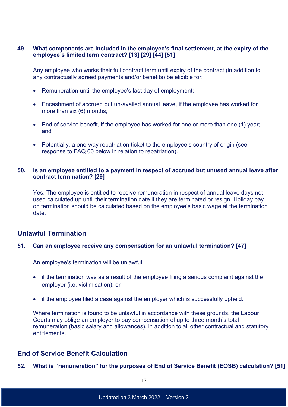## **49. What components are included in the employee's final settlement, at the expiry of the employee's limited term contract? [13] [29] [44] [51]**

Any employee who works their full contract term until expiry of the contract (in addition to any contractually agreed payments and/or benefits) be eligible for:

- Remuneration until the employee's last day of employment;
- Encashment of accrued but un-availed annual leave, if the employee has worked for more than six (6) months;
- End of service benefit, if the employee has worked for one or more than one (1) year; and
- Potentially, a one-way repatriation ticket to the employee's country of origin (see response to FAQ 60 below in relation to repatriation).

## **50. Is an employee entitled to a payment in respect of accrued but unused annual leave after contract termination? [29]**

Yes. The employee is entitled to receive remuneration in respect of annual leave days not used calculated up until their termination date if they are terminated or resign. Holiday pay on termination should be calculated based on the employee's basic wage at the termination date.

## **Unlawful Termination**

## **51. Can an employee receive any compensation for an unlawful termination? [47]**

An employee's termination will be unlawful:

- if the termination was as a result of the employee filing a serious complaint against the employer (i.e. victimisation); or
- if the employee filed a case against the employer which is successfully upheld.

Where termination is found to be unlawful in accordance with these grounds, the Labour Courts may oblige an employer to pay compensation of up to three month's total remuneration (basic salary and allowances), in addition to all other contractual and statutory **entitlements** 

# **End of Service Benefit Calculation**

**52. What is "remuneration" for the purposes of End of Service Benefit (EOSB) calculation? [51]**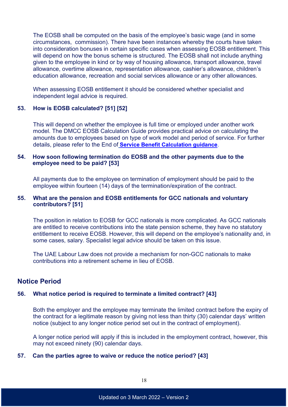The EOSB shall be computed on the basis of the employee's basic wage (and in some circumstances, commission). There have been instances whereby the courts have taken into consideration bonuses in certain specific cases when assessing EOSB entitlement. This will depend on how the bonus scheme is structured. The EOSB shall not include anything given to the employee in kind or by way of housing allowance, transport allowance, travel allowance, overtime allowance, representation allowance, cashier's allowance, children's education allowance, recreation and social services allowance or any other allowances.

When assessing EOSB entitlement it should be considered whether specialist and independent legal advice is required.

## **53. How is EOSB calculated? [51] [52]**

This will depend on whether the employee is full time or employed under another work model. The DMCC EOSB Calculation Guide provides practical advice on calculating the amounts due to employees based on type of work model and period of service. For further details, please refer to the End of **[Service Benefit Calculation guidance](https://www.dmcc.ae/application/files/4814/8412/1198/End_of_Service_Benefit_EOSB_Calculation_English.pdf)**.

## **54. How soon following termination do EOSB and the other payments due to the employee need to be paid? [53]**

All payments due to the employee on termination of employment should be paid to the employee within fourteen (14) days of the termination/expiration of the contract.

## **55. What are the pension and EOSB entitlements for GCC nationals and voluntary contributors? [51]**

The position in relation to EOSB for GCC nationals is more complicated. As GCC nationals are entitled to receive contributions into the state pension scheme, they have no statutory entitlement to receive EOSB. However, this will depend on the employee's nationality and, in some cases, salary. Specialist legal advice should be taken on this issue.

The UAE Labour Law does not provide a mechanism for non-GCC nationals to make contributions into a retirement scheme in lieu of EOSB.

## **Notice Period**

## **56. What notice period is required to terminate a limited contract? [43]**

Both the employer and the employee may terminate the limited contract before the expiry of the contract for a legitimate reason by giving not less than thirty (30) calendar days' written notice (subject to any longer notice period set out in the contract of employment).

A longer notice period will apply if this is included in the employment contract, however, this may not exceed ninety (90) calendar days.

#### **57. Can the parties agree to waive or reduce the notice period? [43]**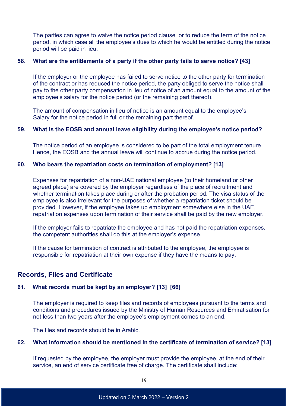The parties can agree to waive the notice period clause or to reduce the term of the notice period, in which case all the employee's dues to which he would be entitled during the notice period will be paid in lieu.

## **58. What are the entitlements of a party if the other party fails to serve notice? [43]**

If the employer or the employee has failed to serve notice to the other party for termination of the contract or has reduced the notice period, the party obliged to serve the notice shall pay to the other party compensation in lieu of notice of an amount equal to the amount of the employee's salary for the notice period (or the remaining part thereof).

The amount of compensation in lieu of notice is an amount equal to the employee's Salary for the notice period in full or the remaining part thereof.

#### **59. What is the EOSB and annual leave eligibility during the employee's notice period?**

The notice period of an employee is considered to be part of the total employment tenure. Hence, the EOSB and the annual leave will continue to accrue during the notice period.

## **60. Who bears the repatriation costs on termination of employment? [13]**

Expenses for repatriation of a non-UAE national employee (to their homeland or other agreed place) are covered by the employer regardless of the place of recruitment and whether termination takes place during or after the probation period. The visa status of the employee is also irrelevant for the purposes of whether a repatriation ticket should be provided. However, if the employee takes up employment somewhere else in the UAE, repatriation expenses upon termination of their service shall be paid by the new employer.

If the employer fails to repatriate the employee and has not paid the repatriation expenses, the competent authorities shall do this at the employer's expense.

If the cause for termination of contract is attributed to the employee, the employee is responsible for repatriation at their own expense if they have the means to pay.

## **Records, Files and Certificate**

## **61. What records must be kept by an employer? [13] [66]**

The employer is required to keep files and records of employees pursuant to the terms and conditions and procedures issued by the Ministry of Human Resources and Emiratisation for not less than two years after the employee's employment comes to an end.

The files and records should be in Arabic.

## **62. What information should be mentioned in the certificate of termination of service? [13]**

If requested by the employee, the employer must provide the employee, at the end of their service, an end of service certificate free of charge. The certificate shall include: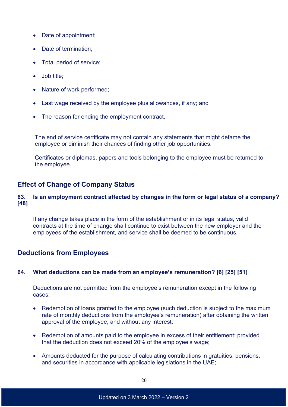- Date of appointment;
- Date of termination:
- Total period of service;
- Job title:
- Nature of work performed;
- Last wage received by the employee plus allowances, if any; and
- The reason for ending the employment contract.

The end of service certificate may not contain any statements that might defame the employee or diminish their chances of finding other job opportunities.

Certificates or diplomas, papers and tools belonging to the employee must be returned to the employee.

## **Effect of Change of Company Status**

## **63. Is an employment contract affected by changes in the form or legal status of a company? [48]**

If any change takes place in the form of the establishment or in its legal status, valid contracts at the time of change shall continue to exist between the new employer and the employees of the establishment, and service shall be deemed to be continuous.

## **Deductions from Employees**

## **64. What deductions can be made from an employee's remuneration? [6] [25] [51]**

Deductions are not permitted from the employee's remuneration except in the following cases:

- Redemption of loans granted to the employee (such deduction is subject to the maximum rate of monthly deductions from the employee's remuneration) after obtaining the written approval of the employee, and without any interest;
- Redemption of amounts paid to the employee in excess of their entitlement; provided that the deduction does not exceed 20% of the employee's wage;
- Amounts deducted for the purpose of calculating contributions in gratuities, pensions, and securities in accordance with applicable legislations in the UAE;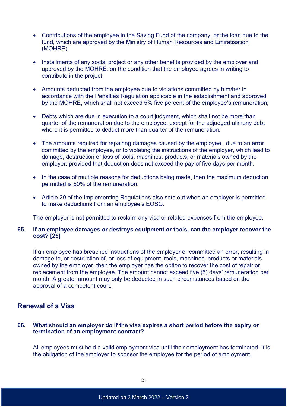- Contributions of the employee in the Saving Fund of the company, or the loan due to the fund, which are approved by the Ministry of Human Resources and Emiratisation (MOHRE);
- Installments of any social project or any other benefits provided by the employer and approved by the MOHRE; on the condition that the employee agrees in writing to contribute in the project;
- Amounts deducted from the employee due to violations committed by him/her in accordance with the Penalties Regulation applicable in the establishment and approved by the MOHRE, which shall not exceed 5% five percent of the employee's remuneration;
- Debts which are due in execution to a court judgment, which shall not be more than quarter of the remuneration due to the employee, except for the adjudged alimony debt where it is permitted to deduct more than quarter of the remuneration:
- The amounts required for repairing damages caused by the employee, due to an error committed by the employee, or to violating the instructions of the employer, which lead to damage, destruction or loss of tools, machines, products, or materials owned by the employer; provided that deduction does not exceed the pay of five days per month.
- In the case of multiple reasons for deductions being made, then the maximum deduction permitted is 50% of the remuneration.
- Article 29 of the Implementing Regulations also sets out when an employer is permitted to make deductions from an employee's EOSG.

The employer is not permitted to reclaim any visa or related expenses from the employee.

## **65. If an employee damages or destroys equipment or tools, can the employer recover the cost? [25]**

If an employee has breached instructions of the employer or committed an error, resulting in damage to, or destruction of, or loss of equipment, tools, machines, products or materials owned by the employer, then the employer has the option to recover the cost of repair or replacement from the employee. The amount cannot exceed five (5) days' remuneration per month. A greater amount may only be deducted in such circumstances based on the approval of a competent court.

## **Renewal of a Visa**

## **66. What should an employer do if the visa expires a short period before the expiry or termination of an employment contract?**

All employees must hold a valid employment visa until their employment has terminated. It is the obligation of the employer to sponsor the employee for the period of employment.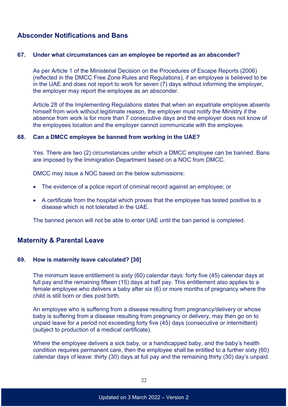# **Absconder Notifications and Bans**

#### **67. Under what circumstances can an employee be reported as an absconder?**

As per Article 1 of the Ministerial Decision on the Procedures of Escape Reports (2006) (reflected in the DMCC Free Zone Rules and Regulations), if an employee is believed to be in the UAE and does not report to work for seven (7) days without informing the employer, the employer may report the employee as an absconder.

Article 28 of the Implementing Regulations states that when an expatriate employee absents himself from work without legitimate reason, the employer must notify the Ministry if the absence from work is for more than 7 consecutive days and the employer does not know of the employees location and the employer cannot communicate with the employee.

## **68. Can a DMCC employee be banned from working in the UAE?**

Yes. There are two (2) circumstances under which a DMCC employee can be banned. Bans are imposed by the Immigration Department based on a NOC from DMCC.

DMCC may issue a NOC based on the below submissions:

- The evidence of a police report of criminal record against an employee; or
- A certificate from the hospital which proves that the employee has tested positive to a disease which is not tolerated in the UAE.

The banned person will not be able to enter UAE until the ban period is completed.

## **Maternity & Parental Leave**

#### **69. How is maternity leave calculated? [30]**

The minimum leave entitlement is sixty (60) calendar days: forty five (45) calendar days at full pay and the remaining fifteen (15) days at half pay. This entitlement also applies to a female employee who delivers a baby after six (6) or more months of pregnancy where the child is still born or dies post birth.

An employee who is suffering from a disease resulting from pregnancy/delivery or whose baby is suffering from a disease resulting from pregnancy or delivery, may then go on to unpaid leave for a period not exceeding forty five (45) days (consecutive or intermittent) (subject to production of a medical certificate).

Where the employee delivers a sick baby, or a handicapped baby, and the baby's health condition requires permanent care, then the employee shall be entitled to a further sixty (60) calendar days of leave: thirty (30) days at full pay and the remaining thirty (30) day's unpaid.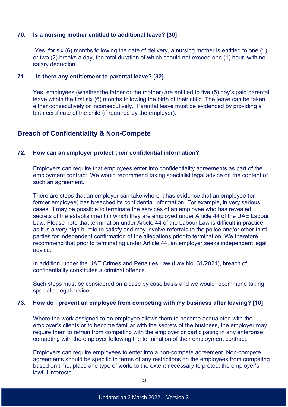## **70. Is a nursing mother entitled to additional leave? [30]**

Yes, for six (6) months following the date of delivery, a nursing mother is entitled to one (1) or two (2) breaks a day, the total duration of which should not exceed one (1) hour, with no salary deduction.

## **71. Is there any entitlement to parental leave? [32]**

Yes, employees (whether the father or the mother) are entitled to five (5) day's paid parental leave within the first six (6) months following the birth of their child. The leave can be taken either consecutively or inconsecutively. Parental leave must be evidenced by providing a birth certificate of the child (if required by the employer).

## **Breach of Confidentiality & Non-Compete**

#### **72. How can an employer protect their confidential information?**

Employers can require that employees enter into confidentiality agreements as part of the employment contract. We would recommend taking specialist legal advice on the content of such an agreement.

There are steps that an employer can take where it has evidence that an employee (or former employee) has breached its confidential information. For example, in very serious cases, it may be possible to terminate the services of an employee who has revealed secrets of the establishment in which they are employed under Article 44 of the UAE Labour Law. Please note that termination under Article 44 of the Labour Law is difficult in practice, as it is a very high hurdle to satisfy and may involve referrals to the police and/or other third parties for independent confirmation of the allegations prior to termination. We therefore recommend that prior to terminating under Article 44, an employer seeks independent legal advice.

In addition, under the UAE Crimes and Penalties Law (Law No. 31/2021), breach of confidentiality constitutes a criminal offence.

Such steps must be considered on a case by case basis and we would recommend taking specialist legal advice.

#### **73. How do I prevent an employee from competing with my business after leaving? [10]**

Where the work assigned to an employee allows them to become acquainted with the employer's clients or to become familiar with the secrets of the business, the employer may require them to refrain from competing with the employer or participating in any enterprise competing with the employer following the termination of their employment contract.

Employers can require employees to enter into a non-compete agreement. Non-compete agreements should be specific in terms of any restrictions on the employees from competing based on time, place and type of work, to the extent necessary to protect the employer's lawful interests.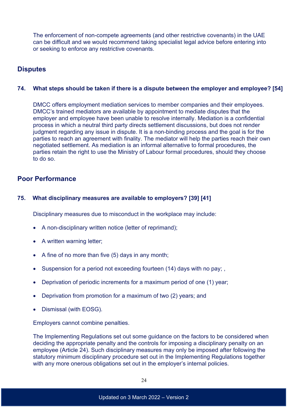The enforcement of non-compete agreements (and other restrictive covenants) in the UAE can be difficult and we would recommend taking specialist legal advice before entering into or seeking to enforce any restrictive covenants.

## **Disputes**

## **74. What steps should be taken if there is a dispute between the employer and employee? [54]**

DMCC offers employment mediation services to member companies and their employees. DMCC's trained mediators are available by appointment to mediate disputes that the employer and employee have been unable to resolve internally. Mediation is a confidential process in which a neutral third party directs settlement discussions, but does not render judgment regarding any issue in dispute. It is a non-binding process and the goal is for the parties to reach an agreement with finality. The mediator will help the parties reach their own negotiated settlement. As mediation is an informal alternative to formal procedures, the parties retain the right to use the Ministry of Labour formal procedures, should they choose to do so.

## **Poor Performance**

## **75. What disciplinary measures are available to employers? [39] [41]**

Disciplinary measures due to misconduct in the workplace may include:

- A non-disciplinary written notice (letter of reprimand);
- A written warning letter;
- A fine of no more than five (5) days in any month;
- Suspension for a period not exceeding fourteen (14) days with no pay;
- Deprivation of periodic increments for a maximum period of one (1) year;
- Deprivation from promotion for a maximum of two (2) years; and
- Dismissal (with EOSG).

Employers cannot combine penalties.

The Implementing Regulations set out some guidance on the factors to be considered when deciding the appropriate penalty and the controls for imposing a disciplinary penalty on an employee (Article 24). Such disciplinary measures may only be imposed after following the statutory minimum disciplinary procedure set out in the Implementing Regulations together with any more onerous obligations set out in the employer's internal policies.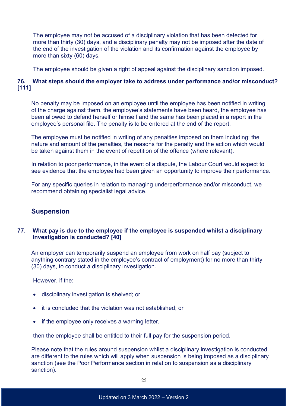The employee may not be accused of a disciplinary violation that has been detected for more than thirty (30) days, and a disciplinary penalty may not be imposed after the date of the end of the investigation of the violation and its confirmation against the employee by more than sixty (60) days.

The employee should be given a right of appeal against the disciplinary sanction imposed.

## **76. What steps should the employer take to address under performance and/or misconduct? [111]**

No penalty may be imposed on an employee until the employee has been notified in writing of the charge against them, the employee's statements have been heard, the employee has been allowed to defend herself or himself and the same has been placed in a report in the employee's personal file. The penalty is to be entered at the end of the report.

The employee must be notified in writing of any penalties imposed on them including: the nature and amount of the penalties, the reasons for the penalty and the action which would be taken against them in the event of repetition of the offence (where relevant).

In relation to poor performance, in the event of a dispute, the Labour Court would expect to see evidence that the employee had been given an opportunity to improve their performance.

For any specific queries in relation to managing underperformance and/or misconduct, we recommend obtaining specialist legal advice.

# **Suspension**

## **77. What pay is due to the employee if the employee is suspended whilst a disciplinary Investigation is conducted? [40]**

An employer can temporarily suspend an employee from work on half pay (subject to anything contrary stated in the employee's contract of employment) for no more than thirty (30) days, to conduct a disciplinary investigation.

However, if the:

- disciplinary investigation is shelved; or
- it is concluded that the violation was not established; or
- if the employee only receives a warning letter,

then the employee shall be entitled to their full pay for the suspension period.

Please note that the rules around suspension whilst a disciplinary investigation is conducted are different to the rules which will apply when suspension is being imposed as a disciplinary sanction (see the Poor Performance section in relation to suspension as a disciplinary sanction).